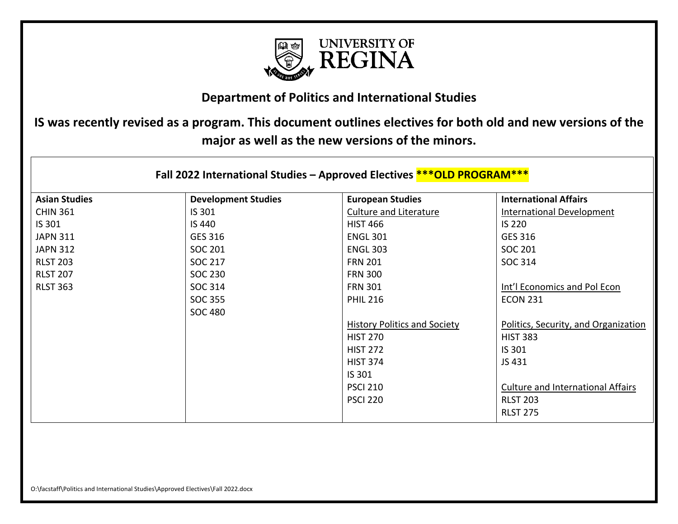

## **Department of Politics and International Studies**

## **IS was recently revised as a program. This document outlines electives for both old and new versions of the major as well as the new versions of the minors.**

| <b>Asian Studies</b> | <b>Development Studies</b> | <b>European Studies</b>             | <b>International Affairs</b>         |  |
|----------------------|----------------------------|-------------------------------------|--------------------------------------|--|
| <b>CHIN 361</b>      | IS 301                     | <b>Culture and Literature</b>       | International Development            |  |
| IS 301               | IS 440                     | <b>HIST 466</b>                     | <b>IS 220</b>                        |  |
| <b>JAPN 311</b>      | GES 316                    | <b>ENGL 301</b>                     | GES 316                              |  |
| <b>JAPN 312</b>      | SOC 201                    | <b>ENGL 303</b>                     | SOC 201                              |  |
| <b>RLST 203</b>      | SOC 217                    | <b>FRN 201</b>                      | SOC 314                              |  |
| <b>RLST 207</b>      | SOC 230                    | <b>FRN 300</b>                      |                                      |  |
| <b>RLST 363</b>      | SOC 314                    | <b>FRN 301</b>                      | Int'l Economics and Pol Econ         |  |
|                      | SOC 355                    | <b>PHIL 216</b>                     | <b>ECON 231</b>                      |  |
|                      | <b>SOC 480</b>             |                                     |                                      |  |
|                      |                            | <b>History Politics and Society</b> | Politics, Security, and Organization |  |
|                      |                            | <b>HIST 270</b>                     | <b>HIST 383</b>                      |  |
|                      |                            | <b>HIST 272</b>                     | IS 301                               |  |
|                      |                            | <b>HIST 374</b>                     | JS 431                               |  |
|                      |                            | IS 301                              |                                      |  |
|                      |                            | <b>PSCI 210</b>                     | Culture and International Affairs    |  |
|                      |                            | <b>PSCI 220</b>                     | <b>RLST 203</b>                      |  |
|                      |                            |                                     | <b>RLST 275</b>                      |  |